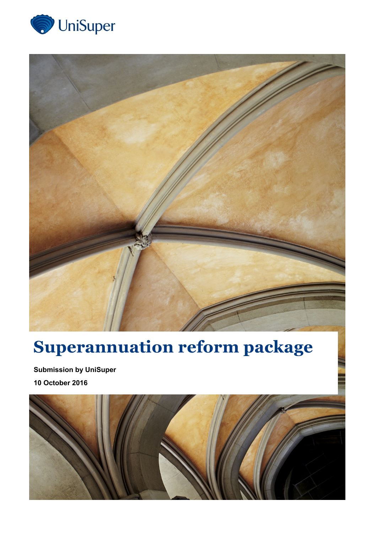



# **Superannuation reform package**

**Submission by UniSuper 10 October 2016**

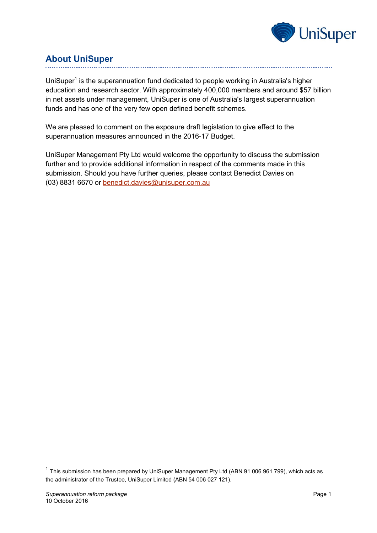

# **About UniSuper**

UniSuper<sup>1</sup> is the superannuation fund dedicated to people working in Australia's higher education and research sector. With approximately 400,000 members and around \$57 billion in net assets under management, UniSuper is one of Australia's largest superannuation funds and has one of the very few open defined benefit schemes.

We are pleased to comment on the exposure draft legislation to give effect to the superannuation measures announced in the 2016-17 Budget.

UniSuper Management Pty Ltd would welcome the opportunity to discuss the submission further and to provide additional information in respect of the comments made in this submission. Should you have further queries, please contact Benedict Davies on (03) 8831 6670 or [benedict.davies@unisuper.com.au](mailto:benedict.davies@unisuper.com.au)

-

 $1$  This submission has been prepared by UniSuper Management Pty Ltd (ABN 91 006 961 799), which acts as the administrator of the Trustee, UniSuper Limited (ABN 54 006 027 121).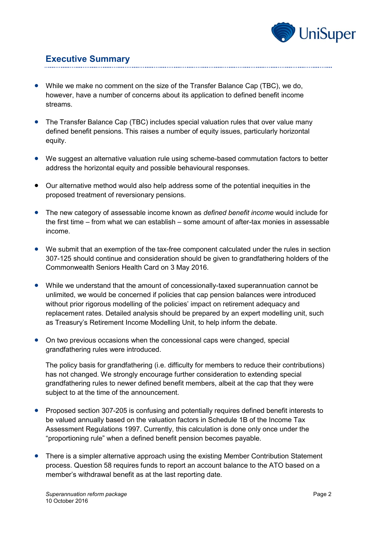

# **Executive Summary**

- While we make no comment on the size of the Transfer Balance Cap (TBC), we do, however, have a number of concerns about its application to defined benefit income streams.
- The Transfer Balance Cap (TBC) includes special valuation rules that over value many defined benefit pensions. This raises a number of equity issues, particularly horizontal equity.
- We suggest an alternative valuation rule using scheme-based commutation factors to better address the horizontal equity and possible behavioural responses.
- Our alternative method would also help address some of the potential inequities in the proposed treatment of reversionary pensions.
- The new category of assessable income known as *defined benefit income* would include for the first time – from what we can establish – some amount of after-tax monies in assessable income.
- We submit that an exemption of the tax-free component calculated under the rules in section 307-125 should continue and consideration should be given to grandfathering holders of the Commonwealth Seniors Health Card on 3 May 2016.
- While we understand that the amount of concessionally-taxed superannuation cannot be unlimited, we would be concerned if policies that cap pension balances were introduced without prior rigorous modelling of the policies' impact on retirement adequacy and replacement rates. Detailed analysis should be prepared by an expert modelling unit, such as Treasury's Retirement Income Modelling Unit, to help inform the debate.
- On two previous occasions when the concessional caps were changed, special grandfathering rules were introduced.

The policy basis for grandfathering (i.e. difficulty for members to reduce their contributions) has not changed. We strongly encourage further consideration to extending special grandfathering rules to newer defined benefit members, albeit at the cap that they were subject to at the time of the announcement.

- Proposed section 307-205 is confusing and potentially requires defined benefit interests to be valued annually based on the valuation factors in Schedule 1B of the Income Tax Assessment Regulations 1997. Currently, this calculation is done only once under the "proportioning rule" when a defined benefit pension becomes payable.
- There is a simpler alternative approach using the existing Member Contribution Statement process. Question 58 requires funds to report an account balance to the ATO based on a member's withdrawal benefit as at the last reporting date.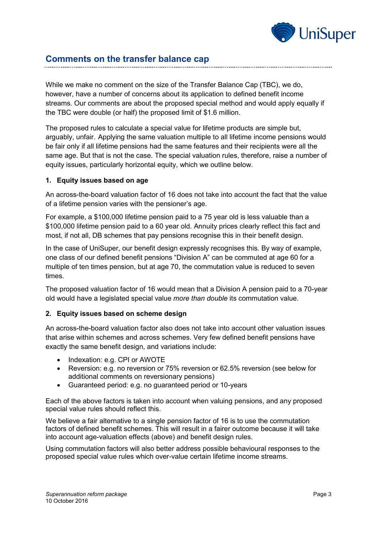

# **Comments on the transfer balance cap**

While we make no comment on the size of the Transfer Balance Cap (TBC), we do, however, have a number of concerns about its application to defined benefit income streams. Our comments are about the proposed special method and would apply equally if the TBC were double (or half) the proposed limit of \$1.6 million.

The proposed rules to calculate a special value for lifetime products are simple but, arguably, unfair. Applying the same valuation multiple to all lifetime income pensions would be fair only if all lifetime pensions had the same features and their recipients were all the same age. But that is not the case. The special valuation rules, therefore, raise a number of equity issues, particularly horizontal equity, which we outline below.

#### **1. Equity issues based on age**

An across-the-board valuation factor of 16 does not take into account the fact that the value of a lifetime pension varies with the pensioner's age.

For example, a \$100,000 lifetime pension paid to a 75 year old is less valuable than a \$100,000 lifetime pension paid to a 60 year old. Annuity prices clearly reflect this fact and most, if not all, DB schemes that pay pensions recognise this in their benefit design.

In the case of UniSuper, our benefit design expressly recognises this. By way of example, one class of our defined benefit pensions "Division A" can be commuted at age 60 for a multiple of ten times pension, but at age 70, the commutation value is reduced to seven times.

The proposed valuation factor of 16 would mean that a Division A pension paid to a 70-year old would have a legislated special value *more than double* its commutation value.

#### **2. Equity issues based on scheme design**

An across-the-board valuation factor also does not take into account other valuation issues that arise within schemes and across schemes. Very few defined benefit pensions have exactly the same benefit design, and variations include:

- Indexation: e.g. CPI or AWOTE
- Reversion: e.g. no reversion or 75% reversion or 62.5% reversion (see below for additional comments on reversionary pensions)
- Guaranteed period: e.g. no guaranteed period or 10-years

Each of the above factors is taken into account when valuing pensions, and any proposed special value rules should reflect this.

We believe a fair alternative to a single pension factor of 16 is to use the commutation factors of defined benefit schemes. This will result in a fairer outcome because it will take into account age-valuation effects (above) and benefit design rules.

Using commutation factors will also better address possible behavioural responses to the proposed special value rules which over-value certain lifetime income streams.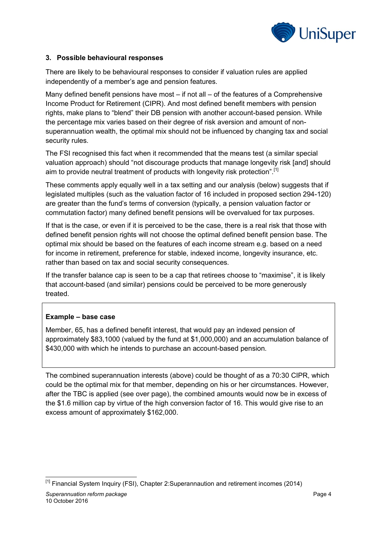

#### **3. Possible behavioural responses**

There are likely to be behavioural responses to consider if valuation rules are applied independently of a member's age and pension features.

Many defined benefit pensions have most  $-$  if not all  $-$  of the features of a Comprehensive Income Product for Retirement (CIPR). And most defined benefit members with pension rights, make plans to "blend" their DB pension with another account-based pension. While the percentage mix varies based on their degree of risk aversion and amount of nonsuperannuation wealth, the optimal mix should not be influenced by changing tax and social security rules.

The FSI recognised this fact when it recommended that the means test (a similar special valuation approach) should "not discourage products that manage longevity risk [and] should aim to provide neutral treatment of products with longevity risk protection".<sup>[1]</sup>

These comments apply equally well in a tax setting and our analysis (below) suggests that if legislated multiples (such as the valuation factor of 16 included in proposed section 294-120) are greater than the fund's terms of conversion (typically, a pension valuation factor or commutation factor) many defined benefit pensions will be overvalued for tax purposes.

If that is the case, or even if it is perceived to be the case, there is a real risk that those with defined benefit pension rights will not choose the optimal defined benefit pension base. The optimal mix should be based on the features of each income stream e.g. based on a need for income in retirement, preference for stable, indexed income, longevity insurance, etc. rather than based on tax and social security consequences.

If the transfer balance cap is seen to be a cap that retirees choose to "maximise", it is likely that account-based (and similar) pensions could be perceived to be more generously treated.

#### **Example – base case**

Member, 65, has a defined benefit interest, that would pay an indexed pension of approximately \$83,1000 (valued by the fund at \$1,000,000) and an accumulation balance of \$430,000 with which he intends to purchase an account-based pension.

The combined superannuation interests (above) could be thought of as a 70:30 CIPR, which could be the optimal mix for that member, depending on his or her circumstances. However, after the TBC is applied (see over page), the combined amounts would now be in excess of the \$1.6 million cap by virtue of the high conversion factor of 16. This would give rise to an excess amount of approximately \$162,000.

<sup>-</sup><sup>[1]</sup> Financial System Inquiry (FSI), Chapter 2:Superannaution and retirement incomes (2014)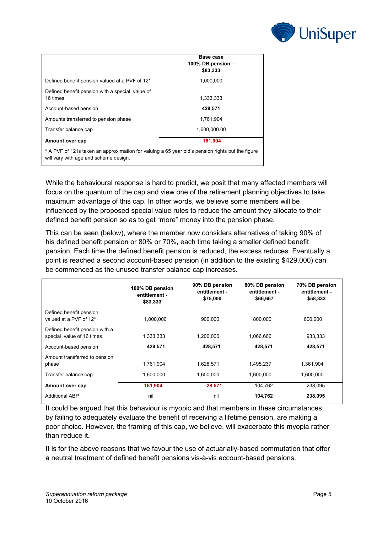

|                                                                                                                                            | Base case<br>100% DB pension -<br>\$83,333 |
|--------------------------------------------------------------------------------------------------------------------------------------------|--------------------------------------------|
| Defined benefit pension valued at a PVF of 12*                                                                                             | 1,000,000                                  |
| Defined benefit pension with a special value of<br>16 times                                                                                | 1,333,333                                  |
| Account-based pension                                                                                                                      | 428,571                                    |
| Amounts transferred to pension phase                                                                                                       | 1.761.904                                  |
| Transfer balance cap                                                                                                                       | 1,600,000.00                               |
| Amount over cap                                                                                                                            | 161,904                                    |
| * A PVF of 12 is taken an approximation for valuing a 65 year old's pension rights but the figure<br>will vary with age and scheme design. |                                            |

While the behavioural response is hard to predict, we posit that many affected members will focus on the quantum of the cap and view one of the retirement planning objectives to take maximum advantage of this cap. In other words, we believe some members will be influenced by the proposed special value rules to reduce the amount they allocate to their defined benefit pension so as to get "more" money into the pension phase.

This can be seen (below), where the member now considers alternatives of taking 90% of his defined benefit pension or 80% or 70%, each time taking a smaller defined benefit pension. Each time the defined benefit pension is reduced, the excess reduces. Eventually a point is reached a second account-based pension (in addition to the existing \$429,000) can be commenced as the unused transfer balance cap increases.

|                                                             | 100% DB pension<br>entitlement -<br>\$83,333 | 90% DB pension<br>entitlement -<br>\$75,000 | 80% DB pension<br>entitlement -<br>\$66,667 | 70% DB pension<br>entitlement -<br>\$58,333 |
|-------------------------------------------------------------|----------------------------------------------|---------------------------------------------|---------------------------------------------|---------------------------------------------|
| Defined benefit pension<br>valued at a PVF of 12*           | 1,000,000                                    | 900.000                                     | 800.000                                     | 600,000                                     |
| Defined benefit pension with a<br>special value of 16 times | 1,333,333                                    | 1,200,000                                   | 1,066,666                                   | 933,333                                     |
| Account-based pension                                       | 428,571                                      | 428,571                                     | 428.571                                     | 428,571                                     |
| Amount transferred to pension<br>phase                      | 1,761,904                                    | 1.628.571                                   | 1,495,237                                   | 1,361,904                                   |
| Transfer balance cap                                        | 1.600.000                                    | 1.600.000                                   | 1.600.000                                   | 1.600.000                                   |
| Amount over cap                                             | 161,904                                      | 28,571                                      | 104,762                                     | 238,095                                     |
| <b>Additional ABP</b>                                       | nil                                          | nil                                         | 104,762                                     | 238,095                                     |

It could be argued that this behaviour is myopic and that members in these circumstances, by failing to adequately evaluate the benefit of receiving a lifetime pension, are making a poor choice. However, the framing of this cap, we believe, will exacerbate this myopia rather than reduce it.

It is for the above reasons that we favour the use of actuarially-based commutation that offer a neutral treatment of defined benefit pensions vis-à-vis account-based pensions.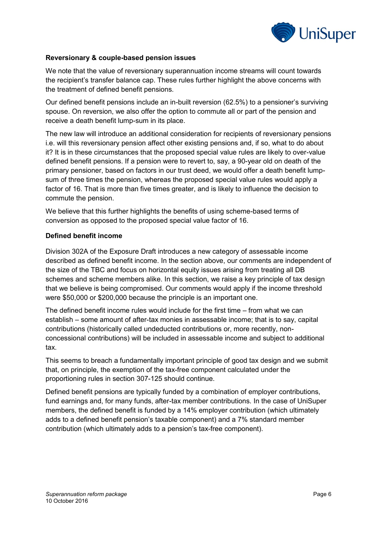

#### **Reversionary & couple-based pension issues**

We note that the value of reversionary superannuation income streams will count towards the recipient's transfer balance cap. These rules further highlight the above concerns with the treatment of defined benefit pensions.

Our defined benefit pensions include an in-built reversion (62.5%) to a pensioner's surviving spouse. On reversion, we also offer the option to commute all or part of the pension and receive a death benefit lump-sum in its place.

The new law will introduce an additional consideration for recipients of reversionary pensions i.e. will this reversionary pension affect other existing pensions and, if so, what to do about it? It is in these circumstances that the proposed special value rules are likely to over-value defined benefit pensions. If a pension were to revert to, say, a 90-year old on death of the primary pensioner, based on factors in our trust deed, we would offer a death benefit lumpsum of three times the pension, whereas the proposed special value rules would apply a factor of 16. That is more than five times greater, and is likely to influence the decision to commute the pension.

We believe that this further highlights the benefits of using scheme-based terms of conversion as opposed to the proposed special value factor of 16.

#### **Defined benefit income**

Division 302A of the Exposure Draft introduces a new category of assessable income described as defined benefit income. In the section above, our comments are independent of the size of the TBC and focus on horizontal equity issues arising from treating all DB schemes and scheme members alike. In this section, we raise a key principle of tax design that we believe is being compromised. Our comments would apply if the income threshold were \$50,000 or \$200,000 because the principle is an important one.

The defined benefit income rules would include for the first time – from what we can establish – some amount of after-tax monies in assessable income; that is to say, capital contributions (historically called undeducted contributions or, more recently, nonconcessional contributions) will be included in assessable income and subject to additional tax.

This seems to breach a fundamentally important principle of good tax design and we submit that, on principle, the exemption of the tax-free component calculated under the proportioning rules in section 307-125 should continue.

Defined benefit pensions are typically funded by a combination of employer contributions, fund earnings and, for many funds, after-tax member contributions. In the case of UniSuper members, the defined benefit is funded by a 14% employer contribution (which ultimately adds to a defined benefit pension's taxable component) and a 7% standard member contribution (which ultimately adds to a pension's tax-free component).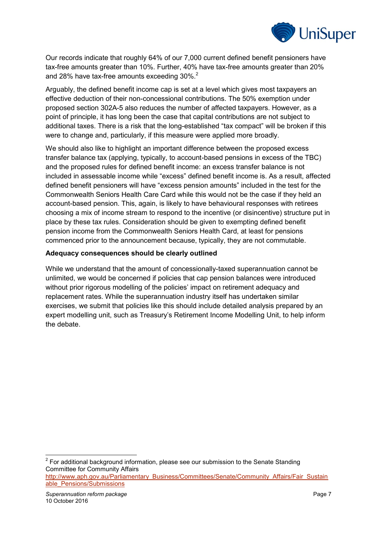

Our records indicate that roughly 64% of our 7,000 current defined benefit pensioners have tax-free amounts greater than 10%. Further, 40% have tax-free amounts greater than 20% and 28% have tax-free amounts exceeding 30%.<sup>2</sup>

Arguably, the defined benefit income cap is set at a level which gives most taxpayers an effective deduction of their non-concessional contributions. The 50% exemption under proposed section 302A-5 also reduces the number of affected taxpayers. However, as a point of principle, it has long been the case that capital contributions are not subject to additional taxes. There is a risk that the long-established "tax compact" will be broken if this were to change and, particularly, if this measure were applied more broadly.

We should also like to highlight an important difference between the proposed excess transfer balance tax (applying, typically, to account-based pensions in excess of the TBC) and the proposed rules for defined benefit income: an excess transfer balance is not included in assessable income while "excess" defined benefit income is. As a result, affected defined benefit pensioners will have "excess pension amounts" included in the test for the Commonwealth Seniors Health Care Card while this would not be the case if they held an account-based pension. This, again, is likely to have behavioural responses with retirees choosing a mix of income stream to respond to the incentive (or disincentive) structure put in place by these tax rules. Consideration should be given to exempting defined benefit pension income from the Commonwealth Seniors Health Card, at least for pensions commenced prior to the announcement because, typically, they are not commutable.

#### **Adequacy consequences should be clearly outlined**

While we understand that the amount of concessionally-taxed superannuation cannot be unlimited, we would be concerned if policies that cap pension balances were introduced without prior rigorous modelling of the policies' impact on retirement adequacy and replacement rates. While the superannuation industry itself has undertaken similar exercises, we submit that policies like this should include detailed analysis prepared by an expert modelling unit, such as Treasury's Retirement Income Modelling Unit, to help inform the debate.

 2 For additional background information, please see our submission to the Senate Standing Committee for Community Affairs

[http://www.aph.gov.au/Parliamentary\\_Business/Committees/Senate/Community\\_Affairs/Fair\\_Sustain](http://www.aph.gov.au/Parliamentary_Business/Committees/Senate/Community_Affairs/Fair_Sustainable_Pensions/Submissions) [able\\_Pensions/Submissions](http://www.aph.gov.au/Parliamentary_Business/Committees/Senate/Community_Affairs/Fair_Sustainable_Pensions/Submissions)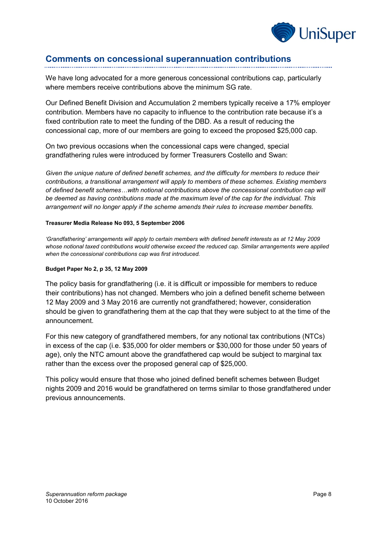

# **Comments on concessional superannuation contributions**

We have long advocated for a more generous concessional contributions cap, particularly where members receive contributions above the minimum SG rate.

Our Defined Benefit Division and Accumulation 2 members typically receive a 17% employer contribution. Members have no capacity to influence to the contribution rate because it's a fixed contribution rate to meet the funding of the DBD. As a result of reducing the concessional cap, more of our members are going to exceed the proposed \$25,000 cap.

On two previous occasions when the concessional caps were changed, special grandfathering rules were introduced by former Treasurers Costello and Swan:

*Given the unique nature of defined benefit schemes, and the difficulty for members to reduce their contributions, a transitional arrangement will apply to members of these schemes. Existing members of defined benefit schemes…with notional contributions above the concessional contribution cap will be deemed as having contributions made at the maximum level of the cap for the individual. This arrangement will no longer apply if the scheme amends their rules to increase member benefits.*

#### **Treasurer Media Release No 093, 5 September 2006**

*'Grandfathering' arrangements will apply to certain members with defined benefit interests as at 12 May 2009 whose notional taxed contributions would otherwise exceed the reduced cap. Similar arrangements were applied when the concessional contributions cap was first introduced.*

#### **Budget Paper No 2, p 35, 12 May 2009**

The policy basis for grandfathering (i.e. it is difficult or impossible for members to reduce their contributions) has not changed. Members who join a defined benefit scheme between 12 May 2009 and 3 May 2016 are currently not grandfathered; however, consideration should be given to grandfathering them at the cap that they were subject to at the time of the announcement.

For this new category of grandfathered members, for any notional tax contributions (NTCs) in excess of the cap (i.e. \$35,000 for older members or \$30,000 for those under 50 years of age), only the NTC amount above the grandfathered cap would be subject to marginal tax rather than the excess over the proposed general cap of \$25,000.

This policy would ensure that those who joined defined benefit schemes between Budget nights 2009 and 2016 would be grandfathered on terms similar to those grandfathered under previous announcements.